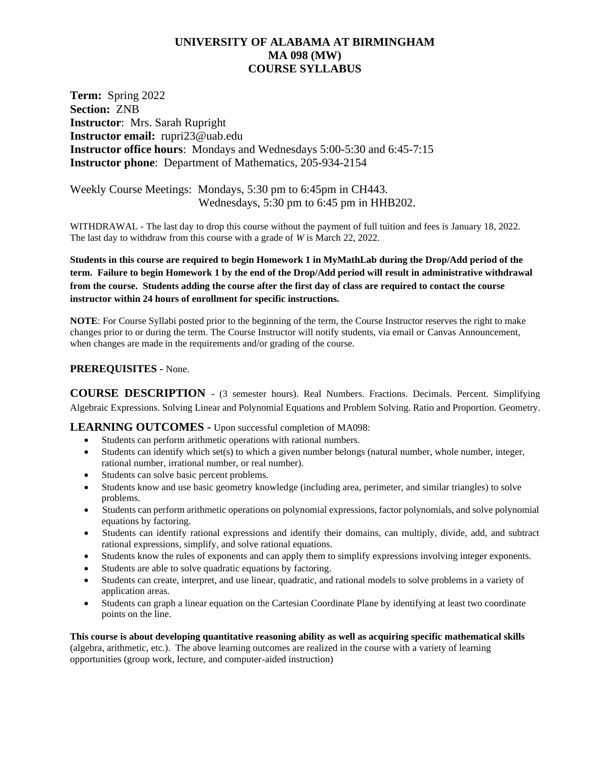## **UNIVERSITY OF ALABAMA AT BIRMINGHAM MA 098 (MW) COURSE SYLLABUS**

**Term:** Spring 2022 **Section:** ZNB **Instructor**: Mrs. Sarah Rupright **Instructor email:** rupri23@uab.edu **Instructor office hours**: Mondays and Wednesdays 5:00-5:30 and 6:45-7:15 **Instructor phone**: Department of Mathematics, 205-934-2154

Weekly Course Meetings: Mondays, 5:30 pm to 6:45pm in CH443. Wednesdays, 5:30 pm to 6:45 pm in HHB202.

WITHDRAWAL - The last day to drop this course without the payment of full tuition and fees is January 18, 2022. The last day to withdraw from this course with a grade of *W* is March 22, 2022.

**Students in this course are required to begin Homework 1 in MyMathLab during the Drop/Add period of the term. Failure to begin Homework 1 by the end of the Drop/Add period will result in administrative withdrawal from the course. Students adding the course after the first day of class are required to contact the course instructor within 24 hours of enrollment for specific instructions.**

**NOTE**: For Course Syllabi posted prior to the beginning of the term, the Course Instructor reserves the right to make changes prior to or during the term. The Course Instructor will notify students, via email or Canvas Announcement, when changes are made in the requirements and/or grading of the course.

#### **PREREQUISITES -** None.

**COURSE DESCRIPTION -** (3 semester hours). Real Numbers. Fractions. Decimals. Percent. Simplifying Algebraic Expressions. Solving Linear and Polynomial Equations and Problem Solving. Ratio and Proportion. Geometry.

**LEARNING OUTCOMES -** Upon successful completion of MA098:

- Students can perform arithmetic operations with rational numbers.
- Students can identify which set(s) to which a given number belongs (natural number, whole number, integer, rational number, irrational number, or real number).
- Students can solve basic percent problems.
- Students know and use basic geometry knowledge (including area, perimeter, and similar triangles) to solve problems.
- Students can perform arithmetic operations on polynomial expressions, factor polynomials, and solve polynomial equations by factoring.
- Students can identify rational expressions and identify their domains, can multiply, divide, add, and subtract rational expressions, simplify, and solve rational equations.
- Students know the rules of exponents and can apply them to simplify expressions involving integer exponents.
- Students are able to solve quadratic equations by factoring.
- Students can create, interpret, and use linear, quadratic, and rational models to solve problems in a variety of application areas.
- Students can graph a linear equation on the Cartesian Coordinate Plane by identifying at least two coordinate points on the line.

**This course is about developing quantitative reasoning ability as well as acquiring specific mathematical skills** (algebra, arithmetic, etc.). The above learning outcomes are realized in the course with a variety of learning opportunities (group work, lecture, and computer-aided instruction)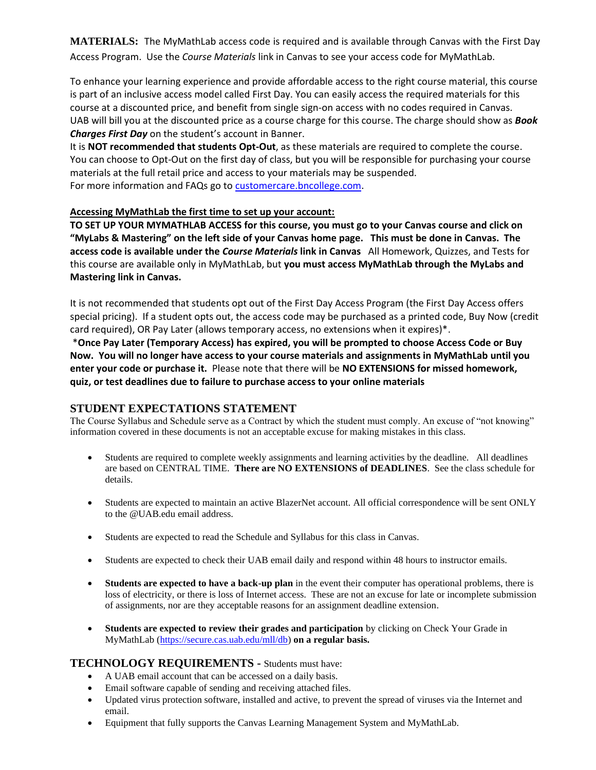**MATERIALS:** The MyMathLab access code is required and is available through Canvas with the First Day Access Program. Use the *Course Materials* link in Canvas to see your access code for MyMathLab.

To enhance your learning experience and provide affordable access to the right course material, this course is part of an inclusive access model called First Day. You can easily access the required materials for this course at a discounted price, and benefit from single sign-on access with no codes required in Canvas. UAB will bill you at the discounted price as a course charge for this course. The charge should show as *Book Charges First Day* on the student's account in Banner.

It is **NOT recommended that students Opt-Out**, as these materials are required to complete the course. You can choose to Opt-Out on the first day of class, but you will be responsible for purchasing your course materials at the full retail price and access to your materials may be suspended. For more information and FAQs go t[o customercare.bncollege.com.](https://customercare.bncollege.com/hc/en-us)

#### **Accessing MyMathLab the first time to set up your account:**

**TO SET UP YOUR MYMATHLAB ACCESS for this course, you must go to your Canvas course and click on "MyLabs & Mastering" on the left side of your Canvas home page. This must be done in Canvas. The access code is available under the** *Course Materials* **link in Canvas** All Homework, Quizzes, and Tests for this course are available only in MyMathLab, but **you must access MyMathLab through the MyLabs and Mastering link in Canvas.**

It is not recommended that students opt out of the First Day Access Program (the First Day Access offers special pricing). If a student opts out, the access code may be purchased as a printed code, Buy Now (credit card required), OR Pay Later (allows temporary access, no extensions when it expires)\*.

\***Once Pay Later (Temporary Access) has expired, you will be prompted to choose Access Code or Buy Now. You will no longer have access to your course materials and assignments in MyMathLab until you enter your code or purchase it.** Please note that there will be **NO EXTENSIONS for missed homework, quiz, or test deadlines due to failure to purchase access to your online materials**

## **STUDENT EXPECTATIONS STATEMENT**

The Course Syllabus and Schedule serve as a Contract by which the student must comply. An excuse of "not knowing" information covered in these documents is not an acceptable excuse for making mistakes in this class.

- Students are required to complete weekly assignments and learning activities by the deadline. All deadlines are based on CENTRAL TIME. **There are NO EXTENSIONS of DEADLINES**. See the class schedule for details.
- Students are expected to maintain an active BlazerNet account. All official correspondence will be sent ONLY to the @UAB.edu email address.
- Students are expected to read the Schedule and Syllabus for this class in Canvas.
- Students are expected to check their UAB email daily and respond within 48 hours to instructor emails.
- **Students are expected to have a back-up plan** in the event their computer has operational problems, there is loss of electricity, or there is loss of Internet access. These are not an excuse for late or incomplete submission of assignments, nor are they acceptable reasons for an assignment deadline extension.
- **Students are expected to review their grades and participation** by clicking on Check Your Grade in MyMathLab [\(https://secure.cas.uab.edu/mll/db\)](https://secure.cas.uab.edu/mll/db) **on a regular basis.**

## **TECHNOLOGY REQUIREMENTS -** Students must have:

- A UAB email account that can be accessed on a daily basis.
- Email software capable of sending and receiving attached files.
- Updated virus protection software, installed and active, to prevent the spread of viruses via the Internet and email.
- Equipment that fully supports the Canvas Learning Management System and MyMathLab.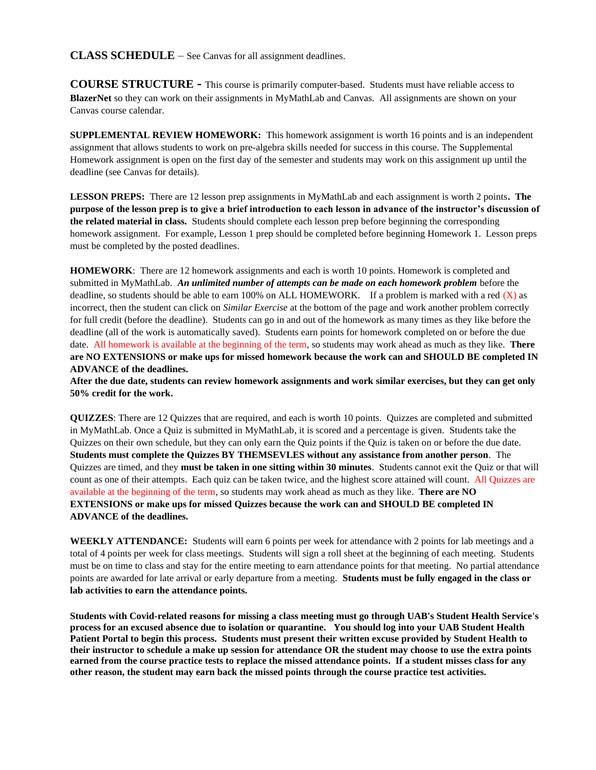#### **CLASS SCHEDULE** – See Canvas for all assignment deadlines.

**COURSE STRUCTURE -** This course is primarily computer-based. Students must have reliable access to **BlazerNet** so they can work on their assignments in MyMathLab and Canvas. All assignments are shown on your Canvas course calendar.

**SUPPLEMENTAL REVIEW HOMEWORK:** This homework assignment is worth 16 points and is an independent assignment that allows students to work on pre-algebra skills needed for success in this course. The Supplemental Homework assignment is open on the first day of the semester and students may work on this assignment up until the deadline (see Canvas for details).

**LESSON PREPS:** There are 12 lesson prep assignments in MyMathLab and each assignment is worth 2 points**. The purpose of the lesson prep is to give a brief introduction to each lesson in advance of the instructor's discussion of the related material in class.** Students should complete each lesson prep before beginning the corresponding homework assignment. For example, Lesson 1 prep should be completed before beginning Homework 1. Lesson preps must be completed by the posted deadlines.

**HOMEWORK**: There are 12 homework assignments and each is worth 10 points. Homework is completed and submitted in MyMathLab. *An unlimited number of attempts can be made on each homework problem* before the deadline, so students should be able to earn 100% on ALL HOMEWORK. If a problem is marked with a red  $(X)$  as incorrect, then the student can click on *Similar Exercise* at the bottom of the page and work another problem correctly for full credit (before the deadline). Students can go in and out of the homework as many times as they like before the deadline (all of the work is automatically saved). Students earn points for homework completed on or before the due date. All homework is available at the beginning of the term, so students may work ahead as much as they like. **There are NO EXTENSIONS or make ups for missed homework because the work can and SHOULD BE completed IN ADVANCE of the deadlines.**

**After the due date, students can review homework assignments and work similar exercises, but they can get only 50% credit for the work.**

**QUIZZES**: There are 12 Quizzes that are required, and each is worth 10 points. Quizzes are completed and submitted in MyMathLab. Once a Quiz is submitted in MyMathLab, it is scored and a percentage is given. Students take the Quizzes on their own schedule, but they can only earn the Quiz points if the Quiz is taken on or before the due date. **Students must complete the Quizzes BY THEMSEVLES without any assistance from another person**. The Quizzes are timed, and they **must be taken in one sitting within 30 minutes**. Students cannot exit the Quiz or that will count as one of their attempts. Each quiz can be taken twice, and the highest score attained will count. All Quizzes are available at the beginning of the term, so students may work ahead as much as they like. **There are NO EXTENSIONS or make ups for missed Quizzes because the work can and SHOULD BE completed IN ADVANCE of the deadlines.**

**WEEKLY ATTENDANCE:** Students will earn 6 points per week for attendance with 2 points for lab meetings and a total of 4 points per week for class meetings. Students will sign a roll sheet at the beginning of each meeting. Students must be on time to class and stay for the entire meeting to earn attendance points for that meeting. No partial attendance points are awarded for late arrival or early departure from a meeting. **Students must be fully engaged in the class or lab activities to earn the attendance points.**

**Students with Covid-related reasons for missing a class meeting must go through UAB's Student Health Service's process for an excused absence due to isolation or quarantine. You should log into your UAB Student Health Patient Portal to begin this process. Students must present their written excuse provided by Student Health to their instructor to schedule a make up session for attendance OR the student may choose to use the extra points earned from the course practice tests to replace the missed attendance points. If a student misses class for any other reason, the student may earn back the missed points through the course practice test activities.**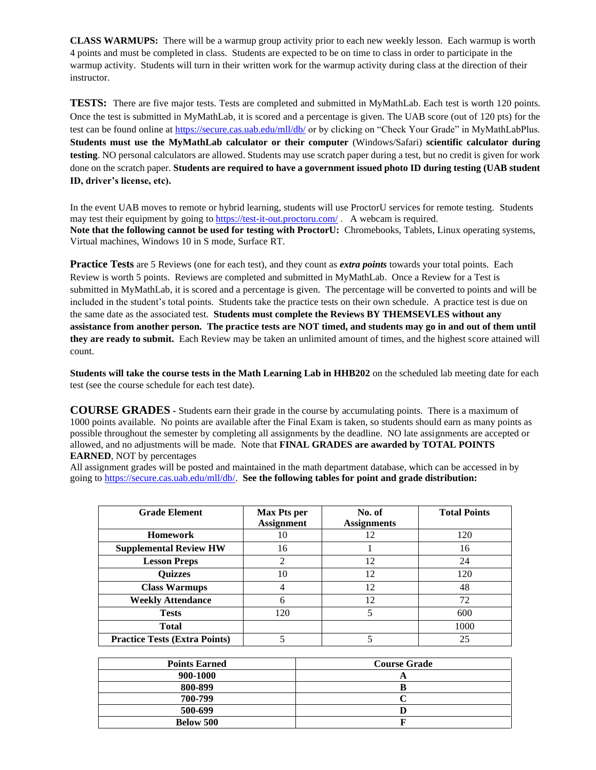**CLASS WARMUPS:** There will be a warmup group activity prior to each new weekly lesson. Each warmup is worth 4 points and must be completed in class. Students are expected to be on time to class in order to participate in the warmup activity. Students will turn in their written work for the warmup activity during class at the direction of their instructor.

**TESTS:** There are five major tests. Tests are completed and submitted in MyMathLab. Each test is worth 120 points. Once the test is submitted in MyMathLab, it is scored and a percentage is given. The UAB score (out of 120 pts) for the test can be found online at<https://secure.cas.uab.edu/mll/db/> or by clicking on "Check Your Grade" in MyMathLabPlus. **Students must use the MyMathLab calculator or their computer** (Windows/Safari) **scientific calculator during testing**. NO personal calculators are allowed. Students may use scratch paper during a test, but no credit is given for work done on the scratch paper. **Students are required to have a government issued photo ID during testing (UAB student ID, driver's license, etc).** 

In the event UAB moves to remote or hybrid learning, students will use ProctorU services for remote testing. Students may test their equipment by going to <https://test-it-out.proctoru.com/>. A webcam is required. **Note that the following cannot be used for testing with ProctorU:** Chromebooks, Tablets, Linux operating systems, Virtual machines, Windows 10 in S mode, Surface RT.

**Practice Tests** are 5 Reviews (one for each test), and they count as *extra points* towards your total points. Each Review is worth 5 points. Reviews are completed and submitted in MyMathLab. Once a Review for a Test is submitted in MyMathLab, it is scored and a percentage is given. The percentage will be converted to points and will be included in the student's total points. Students take the practice tests on their own schedule. A practice test is due on the same date as the associated test. **Students must complete the Reviews BY THEMSEVLES without any assistance from another person. The practice tests are NOT timed, and students may go in and out of them until they are ready to submit.** Each Review may be taken an unlimited amount of times, and the highest score attained will count.

**Students will take the course tests in the Math Learning Lab in HHB202** on the scheduled lab meeting date for each test (see the course schedule for each test date).

**COURSE GRADES -** Students earn their grade in the course by accumulating points. There is a maximum of 1000 points available. No points are available after the Final Exam is taken, so students should earn as many points as possible throughout the semester by completing all assignments by the deadline. NO late assignments are accepted or allowed, and no adjustments will be made. Note that **FINAL GRADES are awarded by TOTAL POINTS EARNED**, NOT by percentages

All assignment grades will be posted and maintained in the math department database, which can be accessed in by going t[o https://secure.cas.uab.edu/mll/db/.](https://secure.cas.uab.edu/mll/db/) **See the following tables for point and grade distribution:**

| <b>Grade Element</b>                 | <b>Max Pts per</b> | No. of             | <b>Total Points</b> |
|--------------------------------------|--------------------|--------------------|---------------------|
|                                      | <b>Assignment</b>  | <b>Assignments</b> |                     |
| <b>Homework</b>                      | 10                 | 12                 | 120                 |
| <b>Supplemental Review HW</b>        | 16                 |                    | 16                  |
| <b>Lesson Preps</b>                  | っ                  | 12                 | 24                  |
| <b>Quizzes</b>                       | 10                 | 12                 | 120                 |
| <b>Class Warmups</b>                 | 4                  | 12                 | 48                  |
| <b>Weekly Attendance</b>             | 6                  | 12                 | 72                  |
| <b>Tests</b>                         | 120                |                    | 600                 |
| <b>Total</b>                         |                    |                    | 1000                |
| <b>Practice Tests (Extra Points)</b> |                    |                    | 25                  |

| <b>Points Earned</b> | <b>Course Grade</b> |  |
|----------------------|---------------------|--|
| 900-1000             |                     |  |
| 800-899              |                     |  |
| 700-799              |                     |  |
| 500-699              |                     |  |
| <b>Below 500</b>     |                     |  |